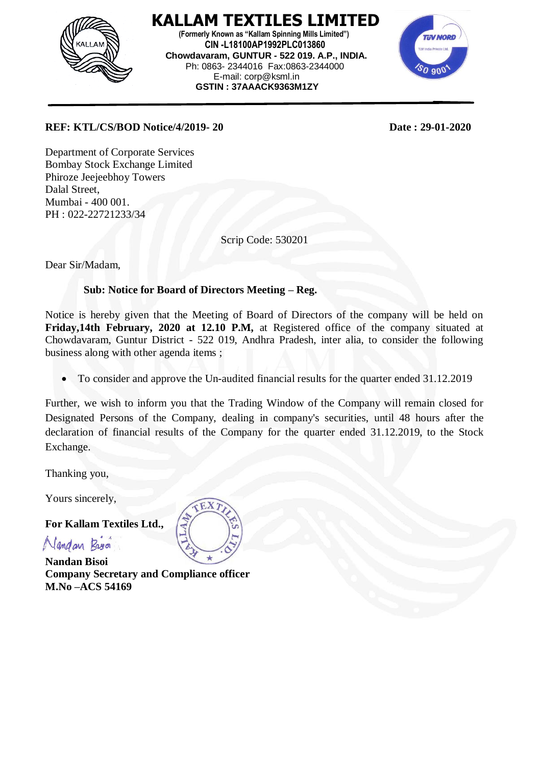

 **KALLAM TEXTILES LIMITED (Formerly Known as "Kallam Spinning Mills Limited") CIN -L18100AP1992PLC013860 Chowdavaram, GUNTUR - 522 019. A.P., INDIA.** Ph: 0863- 2344016 Fax:0863-2344000 E-mail: corp@ksml.in  **GSTIN : 37AAACK9363M1ZY**



## **REF: KTL/CS/BOD Notice/4/2019- 20 Date : 29-01-2020**

Department of Corporate Services Bombay Stock Exchange Limited Phiroze Jeejeebhoy Towers Dalal Street, Mumbai - 400 001. PH : 022-22721233/34

Scrip Code: 530201

Dear Sir/Madam,

## **Sub: Notice for Board of Directors Meeting – Reg.**

Notice is hereby given that the Meeting of Board of Directors of the company will be held on **Friday,14th February, 2020 at 12.10 P.M,** at Registered office of the company situated at Chowdavaram, Guntur District - 522 019, Andhra Pradesh, inter alia, to consider the following business along with other agenda items ;

To consider and approve the Un-audited financial results for the quarter ended 31.12.2019

Further, we wish to inform you that the Trading Window of the Company will remain closed for Designated Persons of the Company, dealing in company's securities, until 48 hours after the declaration of financial results of the Company for the quarter ended 31.12.2019, to the Stock Exchange.

Thanking you,

Yours sincerely,

**For Kallam Textiles Ltd.,**

Nandan Bros

**Nandan Bisoi Company Secretary and Compliance officer M.No –ACS 54169**

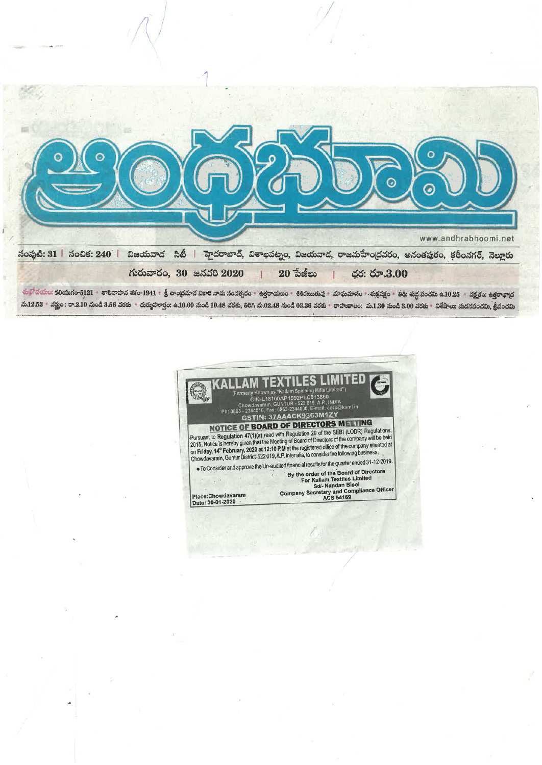

చుత్రోదయం: కరియుగం-5121 శాలివాహన తకం-1941 శ్రీ వాంధ్రమాన వికారి నామ సంవత్సరం శత్రరాయణం శిశకయుల మాఘమానం శుక్షవక్షం - తథి: శుద్ధ పంచమి ఉ.10.25 శుక్షత్రం: ఉత్రాభాధ మ.12.53 వర్ణం: రా.2.10 నుండి 3.56 వరకు - దుర్మహూర్తం: ఉ.10.00 నుండి 10.48 వరకు, తిరిగి మ.02.48 నుండి 03.36 వరకు - రాహుకాలం: మ.1.30 నుండి 3.00 వరకు - విశేషాలు: మదనపంచమి, శ్రీపంచమి

í.